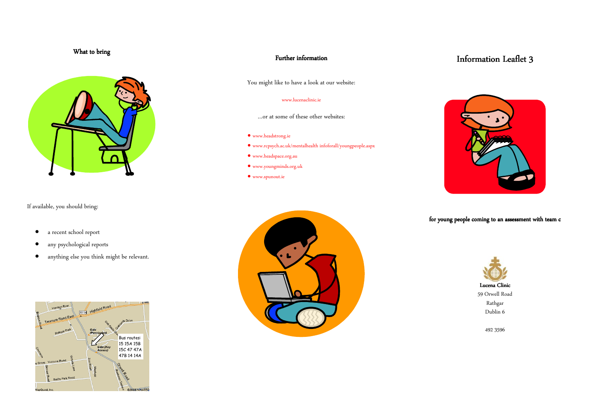### What to bring



If available, you should bring:

- a recent school report
- any psychological reports
- anything else you think might be relevant.



### Further information

You might like to have a look at our website:

#### www.lucenaclinic.ie

- …or at some of these other websites:
- www.headstrong.ie
- www.rcpsych.ac.uk/mentalhealth infoforall/youngpeople.aspx
- www.headspace.org.au
- www.youngminds.org.uk
- www.spunout.ie



# Information Leaflet 3



for young people coming to an assessment with team c



59 Orwell Road Rathgar Dublin 6

492 3596